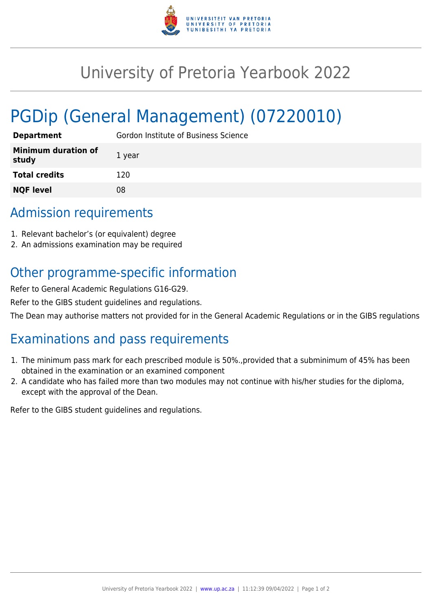

## University of Pretoria Yearbook 2022

# PGDip (General Management) (07220010)

| <b>Department</b>                   | Gordon Institute of Business Science |
|-------------------------------------|--------------------------------------|
| <b>Minimum duration of</b><br>study | 1 year                               |
| <b>Total credits</b>                | 120                                  |
| <b>NQF level</b>                    | 08                                   |

#### Admission requirements

- 1. Relevant bachelor's (or equivalent) degree
- 2. An admissions examination may be required

### Other programme-specific information

Refer to General Academic Regulations G16-G29.

Refer to the GIBS student guidelines and regulations.

The Dean may authorise matters not provided for in the General Academic Regulations or in the GIBS regulations

### Examinations and pass requirements

- 1. The minimum pass mark for each prescribed module is 50%.,provided that a subminimum of 45% has been obtained in the examination or an examined component
- 2. A candidate who has failed more than two modules may not continue with his/her studies for the diploma, except with the approval of the Dean.

Refer to the GIBS student guidelines and regulations.